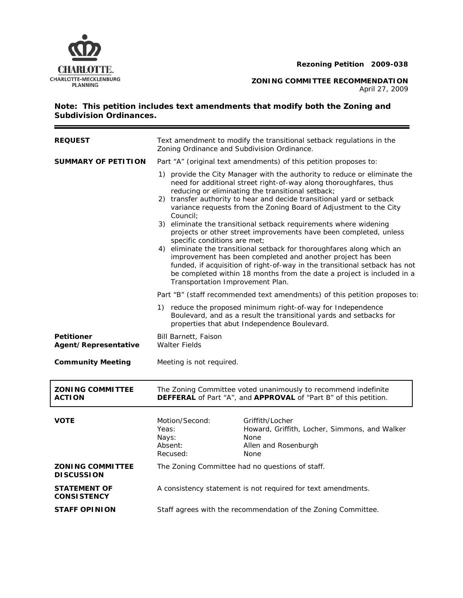



**CHARLOTTE-MECKLENBURG**<br>PLANNING PLANNING

April 27, 2009

 $\equiv$ 

# **Note: This petition includes text amendments that modify both the Zoning and Subdivision Ordinances.**

| <b>REQUEST</b>                               | Text amendment to modify the transitional setback regulations in the<br>Zoning Ordinance and Subdivision Ordinance.                                                                                                                                                                                                                                                                                                                                                                                                                                                                                                                                                                                                                                                                                                                                                                                                                               |                                                                                                                                                                                    |  |
|----------------------------------------------|---------------------------------------------------------------------------------------------------------------------------------------------------------------------------------------------------------------------------------------------------------------------------------------------------------------------------------------------------------------------------------------------------------------------------------------------------------------------------------------------------------------------------------------------------------------------------------------------------------------------------------------------------------------------------------------------------------------------------------------------------------------------------------------------------------------------------------------------------------------------------------------------------------------------------------------------------|------------------------------------------------------------------------------------------------------------------------------------------------------------------------------------|--|
| <b>SUMMARY OF PETITION</b>                   | Part "A" (original text amendments) of this petition proposes to:<br>1) provide the City Manager with the authority to reduce or eliminate the<br>need for additional street right-of-way along thoroughfares, thus<br>reducing or eliminating the transitional setback;<br>2) transfer authority to hear and decide transitional yard or setback<br>variance requests from the Zoning Board of Adjustment to the City<br>Council;<br>3) eliminate the transitional setback requirements where widening<br>projects or other street improvements have been completed, unless<br>specific conditions are met;<br>4) eliminate the transitional setback for thoroughfares along which an<br>improvement has been completed and another project has been<br>funded, if acquisition of right-of-way in the transitional setback has not<br>be completed within 18 months from the date a project is included in a<br>Transportation Improvement Plan. |                                                                                                                                                                                    |  |
|                                              |                                                                                                                                                                                                                                                                                                                                                                                                                                                                                                                                                                                                                                                                                                                                                                                                                                                                                                                                                   |                                                                                                                                                                                    |  |
|                                              |                                                                                                                                                                                                                                                                                                                                                                                                                                                                                                                                                                                                                                                                                                                                                                                                                                                                                                                                                   | Part "B" (staff recommended text amendments) of this petition proposes to:                                                                                                         |  |
|                                              |                                                                                                                                                                                                                                                                                                                                                                                                                                                                                                                                                                                                                                                                                                                                                                                                                                                                                                                                                   | 1) reduce the proposed minimum right-of-way for Independence<br>Boulevard, and as a result the transitional yards and setbacks for<br>properties that abut Independence Boulevard. |  |
| <b>Petitioner</b><br>Agent/Representative    | <b>Bill Barnett, Faison</b><br><b>Walter Fields</b>                                                                                                                                                                                                                                                                                                                                                                                                                                                                                                                                                                                                                                                                                                                                                                                                                                                                                               |                                                                                                                                                                                    |  |
| <b>Community Meeting</b>                     | Meeting is not required.                                                                                                                                                                                                                                                                                                                                                                                                                                                                                                                                                                                                                                                                                                                                                                                                                                                                                                                          |                                                                                                                                                                                    |  |
| <b>ZONING COMMITTEE</b><br><b>ACTION</b>     | The Zoning Committee voted unanimously to recommend indefinite<br><b>DEFFERAL</b> of Part "A", and <b>APPROVAL</b> of "Part B" of this petition.                                                                                                                                                                                                                                                                                                                                                                                                                                                                                                                                                                                                                                                                                                                                                                                                  |                                                                                                                                                                                    |  |
| <b>VOTE</b>                                  | Motion/Second:<br>Yeas:<br>Nays:<br>Absent:<br>Recused:                                                                                                                                                                                                                                                                                                                                                                                                                                                                                                                                                                                                                                                                                                                                                                                                                                                                                           | Griffith/Locher<br>Howard, Griffith, Locher, Simmons, and Walker<br>None<br>Allen and Rosenburgh<br>None                                                                           |  |
| <b>ZONING COMMITTEE</b><br><b>DISCUSSION</b> | The Zoning Committee had no questions of staff.                                                                                                                                                                                                                                                                                                                                                                                                                                                                                                                                                                                                                                                                                                                                                                                                                                                                                                   |                                                                                                                                                                                    |  |
| <b>STATEMENT OF</b><br><b>CONSISTENCY</b>    | A consistency statement is not required for text amendments.                                                                                                                                                                                                                                                                                                                                                                                                                                                                                                                                                                                                                                                                                                                                                                                                                                                                                      |                                                                                                                                                                                    |  |
| <b>STAFF OPINION</b>                         | Staff agrees with the recommendation of the Zoning Committee.                                                                                                                                                                                                                                                                                                                                                                                                                                                                                                                                                                                                                                                                                                                                                                                                                                                                                     |                                                                                                                                                                                    |  |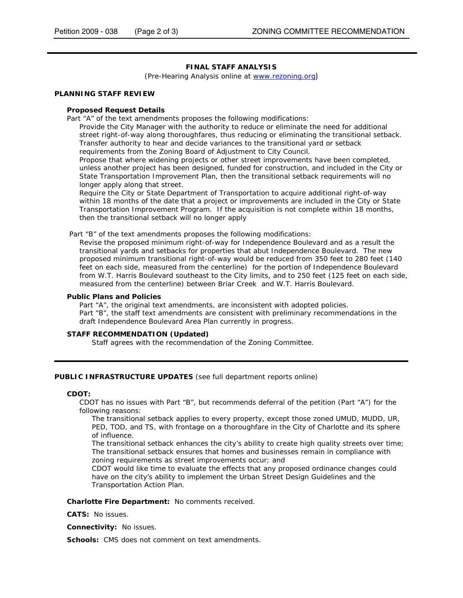# **FINAL STAFF ANALYSIS**

(Pre-Hearing Analysis online at www.rezoning.org)

### **PLANNING STAFF REVIEW**

### **Proposed Request Details**

Part "A" of the text amendments proposes the following modifications:

Provide the City Manager with the authority to reduce or eliminate the need for additional street right-of-way along thoroughfares, thus reducing or eliminating the transitional setback. Transfer authority to hear and decide variances to the transitional yard or setback requirements from the Zoning Board of Adjustment to City Council.

Propose that where widening projects or other street improvements have been completed, unless another project has been designed, funded for construction, and included in the City or State Transportation Improvement Plan, then the transitional setback requirements will no longer apply along that street.

Require the City or State Department of Transportation to acquire additional right-of-way within 18 months of the date that a project or improvements are included in the City or State Transportation Improvement Program. If the acquisition is not complete within 18 months, then the transitional setback will no longer apply

Part "B" of the text amendments proposes the following modifications:

Revise the proposed minimum right-of-way for Independence Boulevard and as a result the transitional yards and setbacks for properties that abut Independence Boulevard. The new proposed minimum transitional right-of-way would be reduced from 350 feet to 280 feet (140 feet on each side, measured from the centerline) for the portion of Independence Boulevard from W.T. Harris Boulevard southeast to the City limits, and to 250 feet (125 feet on each side, measured from the centerline) between Briar Creek and W.T. Harris Boulevard.

#### **Public Plans and Policies**

Part "A", the original text amendments, are inconsistent with adopted policies. Part "B", the staff text amendments are consistent with preliminary recommendations in the draft *Independence Boulevard Area Plan* currently in progress.

## **STAFF RECOMMENDATION (Updated)**

Staff agrees with the recommendation of the Zoning Committee.

## **PUBLIC INFRASTRUCTURE UPDATES** (see full department reports online)

#### **CDOT:**

CDOT has no issues with Part "B", but recommends deferral of the petition (Part "A") for the following reasons:

The transitional setback applies to every property, except those zoned UMUD, MUDD, UR, PED, TOD, and TS, with frontage on a thoroughfare in the City of Charlotte and its sphere of influence.

The transitional setback enhances the city's ability to create high quality streets over time; The transitional setback ensures that homes and businesses remain in compliance with zoning requirements as street improvements occur; and

CDOT would like time to evaluate the effects that any proposed ordinance changes could have on the city's ability to implement the Urban Street Design Guidelines and the Transportation Action Plan.

**Charlotte Fire Department:** No comments received.

**CATS:** No issues.

**Connectivity:** No issues.

**Schools:** CMS does not comment on text amendments.